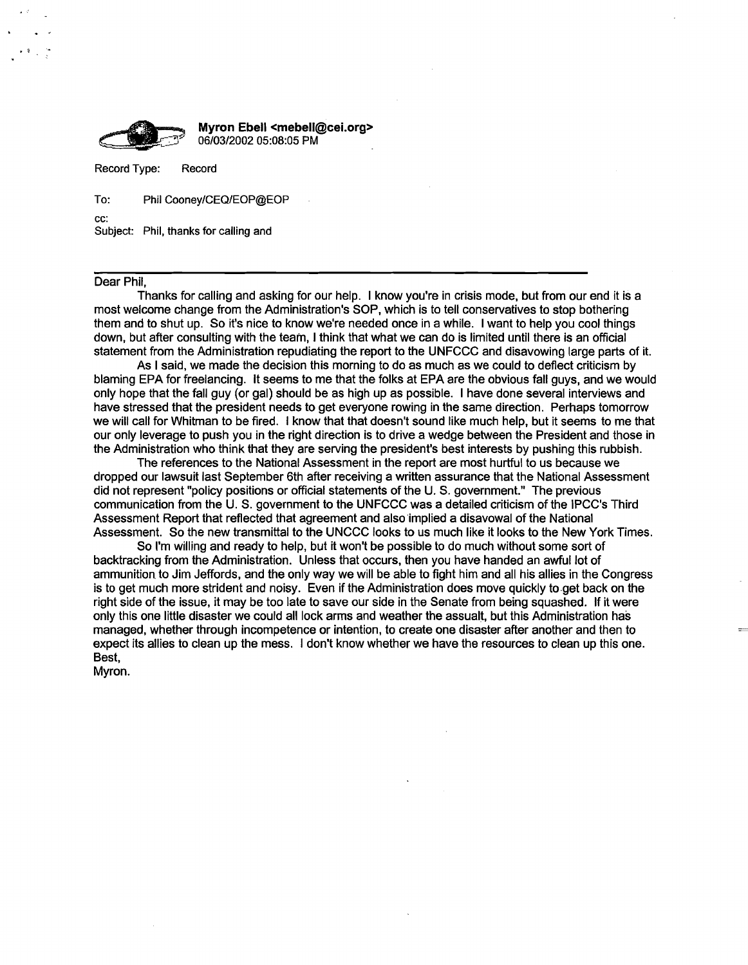

Record Type: Record

To: Phil Cooney/CEQ/EOP@EOP

cc:

.,

Subject: Phil, thanks for calling and

## Dear Phil,

Thanks for calling and asking for our help. I know you're in crisis mode, but from our end it is a most welcome change from the Administration's SOP, which is to tell conservatives to stop bothering them and to shut up. So it's nice to know we're needed once in a while. I want to help you cool things down, but after consulting with the team, I think that what we can do is limited until there is an official statement from the Administration repudiating the report to the UNFCCC and disavowing large parts of it.

As I said, we made the decision this morning to do as much as we could to deflect criticism by blaming EPA for freelancing. It seems to me that the folks at EPA are the obvious fall guys, and we would only hope that the fall guy (or gal) should be as high up as possible. I have done several interviews and have stressed that the president needs to get everyone rowing in the same direction. Perhaps tomorrow we will call for Whitman to be fired. I know that that doesn't sound like much help, but it seems to me that our only leverage to push you in the right direction is to drive a wedge between the President and those in the Administration who think that they are serving the president's best interests by pushing this rubbish.

The references to the National Assessment in the report are most hurtful to us because we dropped our lawsuit last September 6th after receiving a written assurance that the National Assessment did not represent "policy positions or official statements of the U. S. government." The previous communication from the U. S. government to the UNFCCC was a detailed criticism of the IPCC's Third Assessment Report that reflected that agreement and also implied a disavowal of the National Assessment. So the new transmittal to the UNCCC looks to us much like it looks to the New York Times.

So I'm willing and ready to help, but it won't be possible to do much without some sort of backtracking from the Administration. Unless that occurs, then you have handed an awful lot of ammunition to Jim Jeffords, and the only way we will be able to fight him and all his allies in the Congress is to get much more strident and noisy. Even if the Administration does move quickly to.get back on the right side of the issue, it may be too late to save our side in the Senate from being squashed. If it were only this one little disaster we could all lock arms and weather the assualt, but this Administration has managed, whether through incompetence or intention, to create one disaster after another and then to expect its allies to clean up the mess. I don't know whether we have the resources to clean up this one. Best,

Myron.